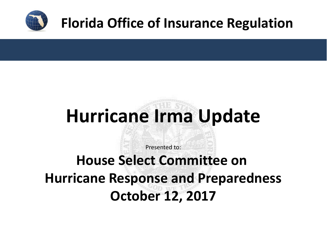

## **Florida Office of Insurance Regulation**

# **Hurricane Irma Update**

Presented to:

**House Select Committee on Hurricane Response and Preparedness October 12, 2017**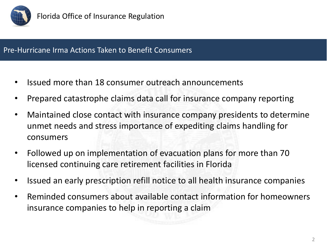

#### Pre-Hurricane Irma Actions Taken to Benefit Consumers

- Issued more than 18 consumer outreach announcements
- Prepared catastrophe claims data call for insurance company reporting
- Maintained close contact with insurance company presidents to determine unmet needs and stress importance of expediting claims handling for consumers
- Followed up on implementation of evacuation plans for more than 70 licensed continuing care retirement facilities in Florida
- Issued an early prescription refill notice to all health insurance companies
- Reminded consumers about available contact information for homeowners insurance companies to help in reporting a claim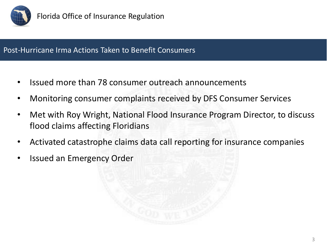

### Post-Hurricane Irma Actions Taken to Benefit Consumers

- Issued more than 78 consumer outreach announcements
- Monitoring consumer complaints received by DFS Consumer Services
- Met with Roy Wright, National Flood Insurance Program Director, to discuss flood claims affecting Floridians
- Activated catastrophe claims data call reporting for insurance companies
- Issued an Emergency Order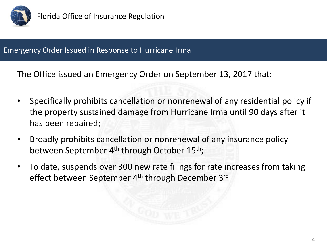

#### Emergency Order Issued in Response to Hurricane Irma

The Office issued an Emergency Order on September 13, 2017 that:

- Specifically prohibits cancellation or nonrenewal of any residential policy if the property sustained damage from Hurricane Irma until 90 days after it has been repaired;
- Broadly prohibits cancellation or nonrenewal of any insurance policy between September 4<sup>th</sup> through October 15<sup>th</sup>;
- To date, suspends over 300 new rate filings for rate increases from taking effect between September 4<sup>th</sup> through December 3<sup>rd</sup>